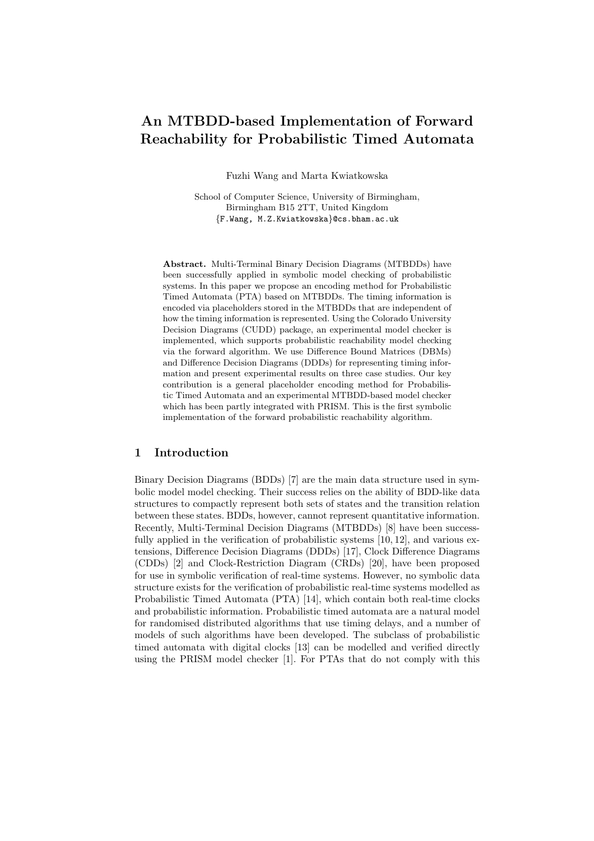# An MTBDD-based Implementation of Forward Reachability for Probabilistic Timed Automata

Fuzhi Wang and Marta Kwiatkowska

School of Computer Science, University of Birmingham, Birmingham B15 2TT, United Kingdom {F.Wang, M.Z.Kwiatkowska}@cs.bham.ac.uk

Abstract. Multi-Terminal Binary Decision Diagrams (MTBDDs) have been successfully applied in symbolic model checking of probabilistic systems. In this paper we propose an encoding method for Probabilistic Timed Automata (PTA) based on MTBDDs. The timing information is encoded via placeholders stored in the MTBDDs that are independent of how the timing information is represented. Using the Colorado University Decision Diagrams (CUDD) package, an experimental model checker is implemented, which supports probabilistic reachability model checking via the forward algorithm. We use Difference Bound Matrices (DBMs) and Difference Decision Diagrams (DDDs) for representing timing information and present experimental results on three case studies. Our key contribution is a general placeholder encoding method for Probabilistic Timed Automata and an experimental MTBDD-based model checker which has been partly integrated with PRISM. This is the first symbolic implementation of the forward probabilistic reachability algorithm.

## 1 Introduction

Binary Decision Diagrams (BDDs) [7] are the main data structure used in symbolic model model checking. Their success relies on the ability of BDD-like data structures to compactly represent both sets of states and the transition relation between these states. BDDs, however, cannot represent quantitative information. Recently, Multi-Terminal Decision Diagrams (MTBDDs) [8] have been successfully applied in the verification of probabilistic systems [10, 12], and various extensions, Difference Decision Diagrams (DDDs) [17], Clock Difference Diagrams (CDDs) [2] and Clock-Restriction Diagram (CRDs) [20], have been proposed for use in symbolic verification of real-time systems. However, no symbolic data structure exists for the verification of probabilistic real-time systems modelled as Probabilistic Timed Automata (PTA) [14], which contain both real-time clocks and probabilistic information. Probabilistic timed automata are a natural model for randomised distributed algorithms that use timing delays, and a number of models of such algorithms have been developed. The subclass of probabilistic timed automata with digital clocks [13] can be modelled and verified directly using the PRISM model checker [1]. For PTAs that do not comply with this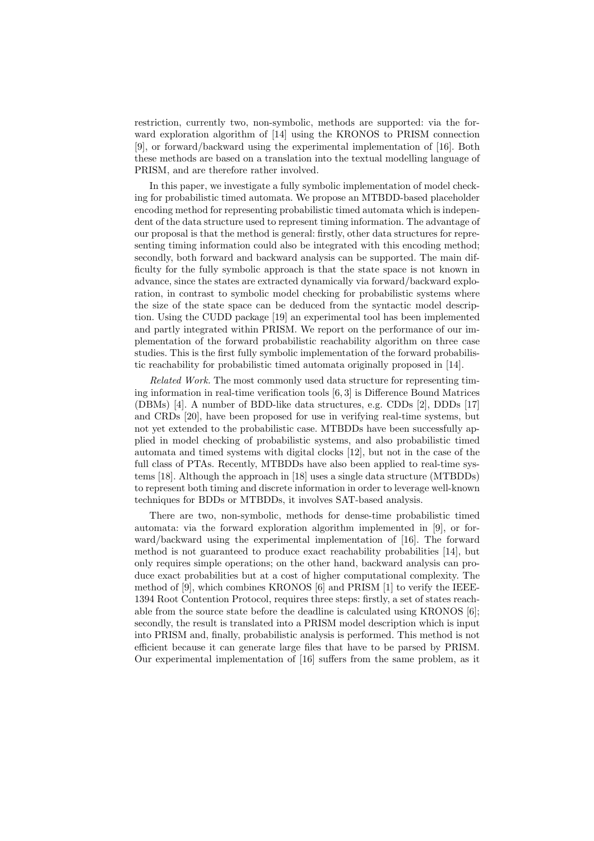restriction, currently two, non-symbolic, methods are supported: via the forward exploration algorithm of [14] using the KRONOS to PRISM connection [9], or forward/backward using the experimental implementation of [16]. Both these methods are based on a translation into the textual modelling language of PRISM, and are therefore rather involved.

In this paper, we investigate a fully symbolic implementation of model checking for probabilistic timed automata. We propose an MTBDD-based placeholder encoding method for representing probabilistic timed automata which is independent of the data structure used to represent timing information. The advantage of our proposal is that the method is general: firstly, other data structures for representing timing information could also be integrated with this encoding method; secondly, both forward and backward analysis can be supported. The main difficulty for the fully symbolic approach is that the state space is not known in advance, since the states are extracted dynamically via forward/backward exploration, in contrast to symbolic model checking for probabilistic systems where the size of the state space can be deduced from the syntactic model description. Using the CUDD package [19] an experimental tool has been implemented and partly integrated within PRISM. We report on the performance of our implementation of the forward probabilistic reachability algorithm on three case studies. This is the first fully symbolic implementation of the forward probabilistic reachability for probabilistic timed automata originally proposed in [14].

Related Work. The most commonly used data structure for representing timing information in real-time verification tools [6, 3] is Difference Bound Matrices (DBMs) [4]. A number of BDD-like data structures, e.g. CDDs [2], DDDs [17] and CRDs [20], have been proposed for use in verifying real-time systems, but not yet extended to the probabilistic case. MTBDDs have been successfully applied in model checking of probabilistic systems, and also probabilistic timed automata and timed systems with digital clocks [12], but not in the case of the full class of PTAs. Recently, MTBDDs have also been applied to real-time systems [18]. Although the approach in [18] uses a single data structure (MTBDDs) to represent both timing and discrete information in order to leverage well-known techniques for BDDs or MTBDDs, it involves SAT-based analysis.

There are two, non-symbolic, methods for dense-time probabilistic timed automata: via the forward exploration algorithm implemented in [9], or forward/backward using the experimental implementation of [16]. The forward method is not guaranteed to produce exact reachability probabilities [14], but only requires simple operations; on the other hand, backward analysis can produce exact probabilities but at a cost of higher computational complexity. The method of [9], which combines KRONOS [6] and PRISM [1] to verify the IEEE-1394 Root Contention Protocol, requires three steps: firstly, a set of states reachable from the source state before the deadline is calculated using KRONOS [6]; secondly, the result is translated into a PRISM model description which is input into PRISM and, finally, probabilistic analysis is performed. This method is not efficient because it can generate large files that have to be parsed by PRISM. Our experimental implementation of [16] suffers from the same problem, as it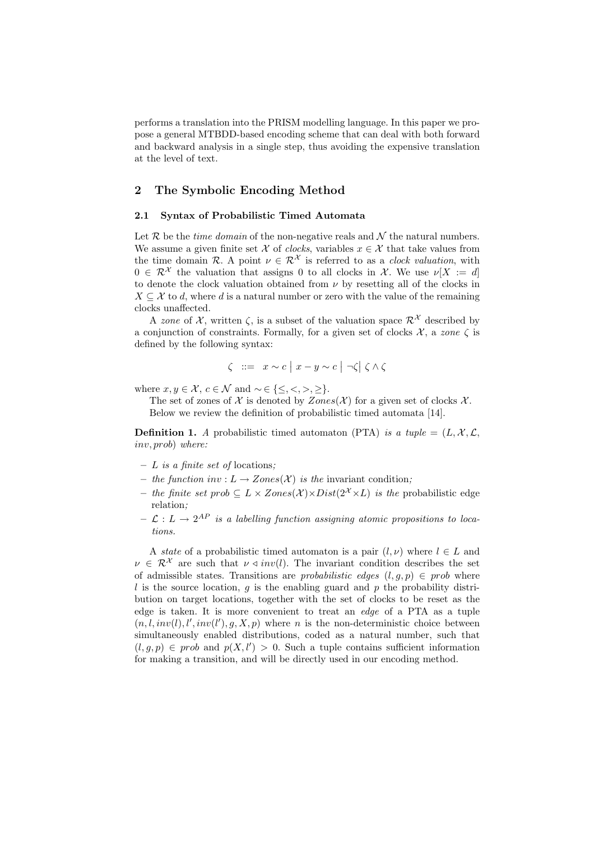performs a translation into the PRISM modelling language. In this paper we propose a general MTBDD-based encoding scheme that can deal with both forward and backward analysis in a single step, thus avoiding the expensive translation at the level of text.

## 2 The Symbolic Encoding Method

#### 2.1 Syntax of Probabilistic Timed Automata

Let  $R$  be the *time domain* of the non-negative reals and  $N$  the natural numbers. We assume a given finite set X of clocks, variables  $x \in \mathcal{X}$  that take values from the time domain R. A point  $\nu \in \mathbb{R}^{\mathcal{X}}$  is referred to as a *clock valuation*, with  $0 \in \mathcal{R}^{\mathcal{X}}$  the valuation that assigns 0 to all clocks in X. We use  $\nu[X := d]$ to denote the clock valuation obtained from  $\nu$  by resetting all of the clocks in  $X \subseteq \mathcal{X}$  to d, where d is a natural number or zero with the value of the remaining clocks unaffected.

A zone of  $\mathcal{X}$ , written  $\zeta$ , is a subset of the valuation space  $\mathcal{R}^{\mathcal{X}}$  described by a conjunction of constraints. Formally, for a given set of clocks  $\mathcal{X}$ , a zone  $\zeta$  is defined by the following syntax:

$$
\zeta \ ::= \ x \sim c \mid x - y \sim c \mid \neg \zeta \mid \zeta \wedge \zeta
$$

where  $x, y \in \mathcal{X}, c \in \mathcal{N}$  and  $\sim \in \{ \leq, \leq, \geq, \geq \}$ .

The set of zones of X is denoted by  $Zones(\mathcal{X})$  for a given set of clocks X. Below we review the definition of probabilistic timed automata [14].

**Definition 1.** A probabilistic timed automaton (PTA) is a tuple =  $(L, \mathcal{X}, \mathcal{L})$ inv, prob) where:

- $L$  is a finite set of locations;
- the function inv :  $L \rightarrow Zones(X)$  is the invariant condition;
- the finite set prob ⊆  $L \times Zones(X) \times Dist(2^X \times L)$  is the probabilistic edge relation;
- $\mathcal{L}: L \rightarrow 2^{AP}$  is a labelling function assigning atomic propositions to locations.

A state of a probabilistic timed automaton is a pair  $(l, \nu)$  where  $l \in L$  and  $\nu \in \mathcal{R}^{\mathcal{X}}$  are such that  $\nu \triangleleft inv(l)$ . The invariant condition describes the set of admissible states. Transitions are *probabilistic edges*  $(l, q, p) \in prob$  where  $l$  is the source location,  $g$  is the enabling guard and  $p$  the probability distribution on target locations, together with the set of clocks to be reset as the edge is taken. It is more convenient to treat an edge of a PTA as a tuple  $(n, l, inv(l), l', inv(l'), g, X, p)$  where n is the non-deterministic choice between simultaneously enabled distributions, coded as a natural number, such that  $(l, g, p) \in prob$  and  $p(X, l') > 0$ . Such a tuple contains sufficient information for making a transition, and will be directly used in our encoding method.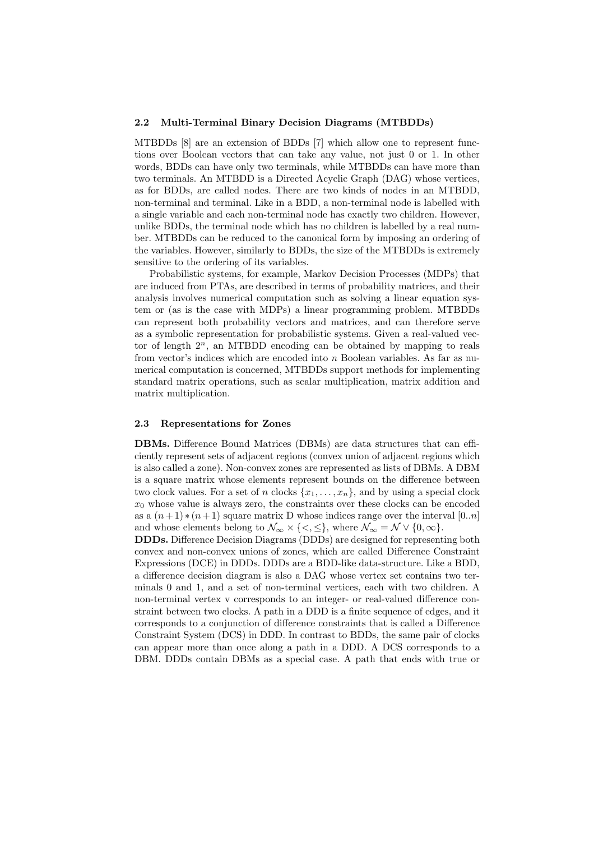#### 2.2 Multi-Terminal Binary Decision Diagrams (MTBDDs)

MTBDDs [8] are an extension of BDDs [7] which allow one to represent functions over Boolean vectors that can take any value, not just 0 or 1. In other words, BDDs can have only two terminals, while MTBDDs can have more than two terminals. An MTBDD is a Directed Acyclic Graph (DAG) whose vertices, as for BDDs, are called nodes. There are two kinds of nodes in an MTBDD, non-terminal and terminal. Like in a BDD, a non-terminal node is labelled with a single variable and each non-terminal node has exactly two children. However, unlike BDDs, the terminal node which has no children is labelled by a real number. MTBDDs can be reduced to the canonical form by imposing an ordering of the variables. However, similarly to BDDs, the size of the MTBDDs is extremely sensitive to the ordering of its variables.

Probabilistic systems, for example, Markov Decision Processes (MDPs) that are induced from PTAs, are described in terms of probability matrices, and their analysis involves numerical computation such as solving a linear equation system or (as is the case with MDPs) a linear programming problem. MTBDDs can represent both probability vectors and matrices, and can therefore serve as a symbolic representation for probabilistic systems. Given a real-valued vector of length  $2^n$ , an MTBDD encoding can be obtained by mapping to reals from vector's indices which are encoded into n Boolean variables. As far as numerical computation is concerned, MTBDDs support methods for implementing standard matrix operations, such as scalar multiplication, matrix addition and matrix multiplication.

### 2.3 Representations for Zones

DBMs. Difference Bound Matrices (DBMs) are data structures that can efficiently represent sets of adjacent regions (convex union of adjacent regions which is also called a zone). Non-convex zones are represented as lists of DBMs. A DBM is a square matrix whose elements represent bounds on the difference between two clock values. For a set of n clocks  $\{x_1, \ldots, x_n\}$ , and by using a special clock  $x_0$  whose value is always zero, the constraints over these clocks can be encoded as a  $(n+1)*(n+1)$  square matrix D whose indices range over the interval  $[0..n]$ and whose elements belong to  $\mathcal{N}_{\infty} \times \{ \langle \xi, \xi \rangle \}$ , where  $\mathcal{N}_{\infty} = \mathcal{N} \vee \{0, \infty\}$ .

DDDs. Difference Decision Diagrams (DDDs) are designed for representing both convex and non-convex unions of zones, which are called Difference Constraint Expressions (DCE) in DDDs. DDDs are a BDD-like data-structure. Like a BDD, a difference decision diagram is also a DAG whose vertex set contains two terminals 0 and 1, and a set of non-terminal vertices, each with two children. A non-terminal vertex v corresponds to an integer- or real-valued difference constraint between two clocks. A path in a DDD is a finite sequence of edges, and it corresponds to a conjunction of difference constraints that is called a Difference Constraint System (DCS) in DDD. In contrast to BDDs, the same pair of clocks can appear more than once along a path in a DDD. A DCS corresponds to a DBM. DDDs contain DBMs as a special case. A path that ends with true or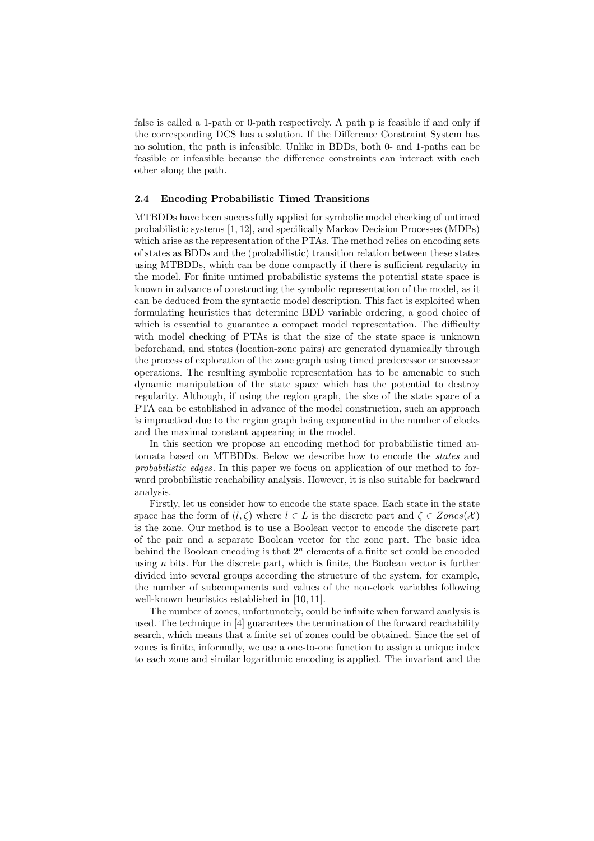false is called a 1-path or 0-path respectively. A path p is feasible if and only if the corresponding DCS has a solution. If the Difference Constraint System has no solution, the path is infeasible. Unlike in BDDs, both 0- and 1-paths can be feasible or infeasible because the difference constraints can interact with each other along the path.

#### 2.4 Encoding Probabilistic Timed Transitions

MTBDDs have been successfully applied for symbolic model checking of untimed probabilistic systems [1, 12], and specifically Markov Decision Processes (MDPs) which arise as the representation of the PTAs. The method relies on encoding sets of states as BDDs and the (probabilistic) transition relation between these states using MTBDDs, which can be done compactly if there is sufficient regularity in the model. For finite untimed probabilistic systems the potential state space is known in advance of constructing the symbolic representation of the model, as it can be deduced from the syntactic model description. This fact is exploited when formulating heuristics that determine BDD variable ordering, a good choice of which is essential to guarantee a compact model representation. The difficulty with model checking of PTAs is that the size of the state space is unknown beforehand, and states (location-zone pairs) are generated dynamically through the process of exploration of the zone graph using timed predecessor or successor operations. The resulting symbolic representation has to be amenable to such dynamic manipulation of the state space which has the potential to destroy regularity. Although, if using the region graph, the size of the state space of a PTA can be established in advance of the model construction, such an approach is impractical due to the region graph being exponential in the number of clocks and the maximal constant appearing in the model.

In this section we propose an encoding method for probabilistic timed automata based on MTBDDs. Below we describe how to encode the states and probabilistic edges. In this paper we focus on application of our method to forward probabilistic reachability analysis. However, it is also suitable for backward analysis.

Firstly, let us consider how to encode the state space. Each state in the state space has the form of  $(l, \zeta)$  where  $l \in L$  is the discrete part and  $\zeta \in Zones(\mathcal{X})$ is the zone. Our method is to use a Boolean vector to encode the discrete part of the pair and a separate Boolean vector for the zone part. The basic idea behind the Boolean encoding is that  $2<sup>n</sup>$  elements of a finite set could be encoded using  $n$  bits. For the discrete part, which is finite, the Boolean vector is further divided into several groups according the structure of the system, for example, the number of subcomponents and values of the non-clock variables following well-known heuristics established in [10, 11].

The number of zones, unfortunately, could be infinite when forward analysis is used. The technique in [4] guarantees the termination of the forward reachability search, which means that a finite set of zones could be obtained. Since the set of zones is finite, informally, we use a one-to-one function to assign a unique index to each zone and similar logarithmic encoding is applied. The invariant and the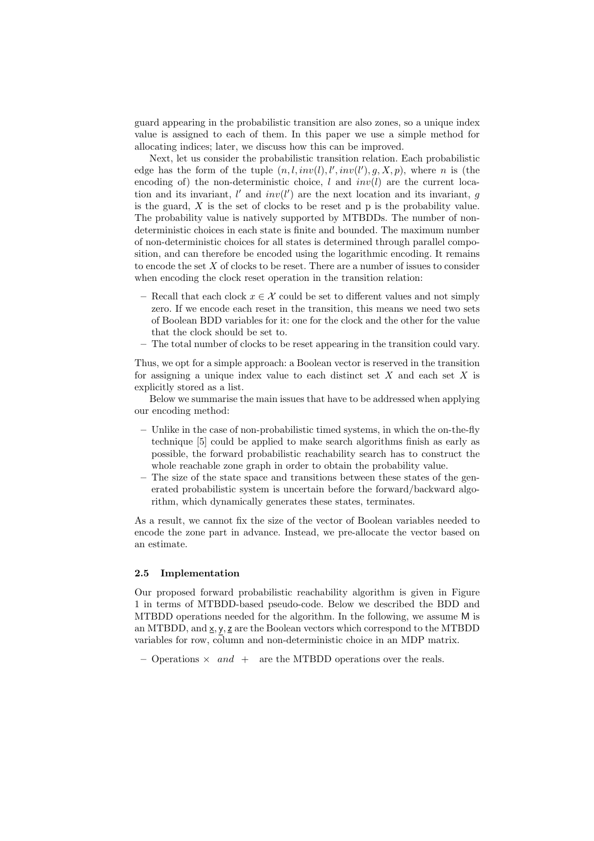guard appearing in the probabilistic transition are also zones, so a unique index value is assigned to each of them. In this paper we use a simple method for allocating indices; later, we discuss how this can be improved.

Next, let us consider the probabilistic transition relation. Each probabilistic edge has the form of the tuple  $(n, l, inv(l), l', inv(l'), g, X, p)$ , where n is (the encoding of) the non-deterministic choice, l and  $inv(l)$  are the current location and its invariant,  $l'$  and  $inv(l')$  are the next location and its invariant, g is the guard,  $X$  is the set of clocks to be reset and p is the probability value. The probability value is natively supported by MTBDDs. The number of nondeterministic choices in each state is finite and bounded. The maximum number of non-deterministic choices for all states is determined through parallel composition, and can therefore be encoded using the logarithmic encoding. It remains to encode the set  $X$  of clocks to be reset. There are a number of issues to consider when encoding the clock reset operation in the transition relation:

- Recall that each clock  $x \in \mathcal{X}$  could be set to different values and not simply zero. If we encode each reset in the transition, this means we need two sets of Boolean BDD variables for it: one for the clock and the other for the value that the clock should be set to.
- The total number of clocks to be reset appearing in the transition could vary.

Thus, we opt for a simple approach: a Boolean vector is reserved in the transition for assigning a unique index value to each distinct set  $X$  and each set  $X$  is explicitly stored as a list.

Below we summarise the main issues that have to be addressed when applying our encoding method:

- Unlike in the case of non-probabilistic timed systems, in which the on-the-fly technique [5] could be applied to make search algorithms finish as early as possible, the forward probabilistic reachability search has to construct the whole reachable zone graph in order to obtain the probability value.
- The size of the state space and transitions between these states of the generated probabilistic system is uncertain before the forward/backward algorithm, which dynamically generates these states, terminates.

As a result, we cannot fix the size of the vector of Boolean variables needed to encode the zone part in advance. Instead, we pre-allocate the vector based on an estimate.

#### 2.5 Implementation

Our proposed forward probabilistic reachability algorithm is given in Figure 1 in terms of MTBDD-based pseudo-code. Below we described the BDD and MTBDD operations needed for the algorithm. In the following, we assume M is an MTBDD, and x, y, z are the Boolean vectors which correspond to the MTBDD variables for row, column and non-deterministic choice in an MDP matrix.

– Operations  $\times$  and  $+$  are the MTBDD operations over the reals.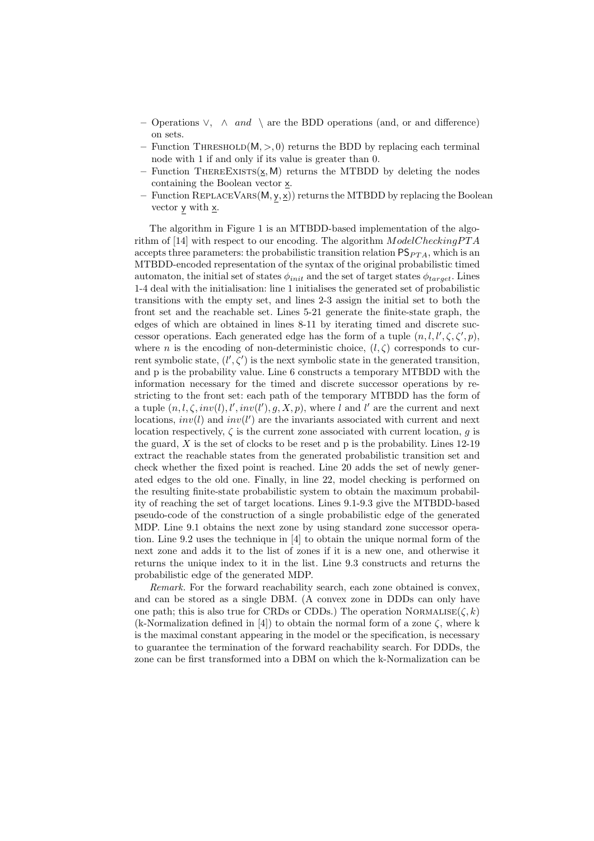- Operations  $\vee$ ,  $\wedge$  and  $\wedge$  are the BDD operations (and, or and difference) on sets.
- Function THRESHOLD $(M, >, 0)$  returns the BDD by replacing each terminal node with 1 if and only if its value is greater than 0.
- $-$  Function THEREEXISTS $(x, M)$  returns the MTBDD by deleting the nodes containing the Boolean vector x.
- Function REPLACEVARS $(M, y, \underline{x})$  returns the MTBDD by replacing the Boolean vector  $y$  with  $\underline{x}$ .

The algorithm in Figure 1 is an MTBDD-based implementation of the algorithm of [14] with respect to our encoding. The algorithm  $ModelCheckingPTA$ accepts three parameters: the probabilistic transition relation  $PS_{PTA}$ , which is an MTBDD-encoded representation of the syntax of the original probabilistic timed automaton, the initial set of states  $\phi_{init}$  and the set of target states  $\phi_{target}$ . Lines 1-4 deal with the initialisation: line 1 initialises the generated set of probabilistic transitions with the empty set, and lines 2-3 assign the initial set to both the front set and the reachable set. Lines 5-21 generate the finite-state graph, the edges of which are obtained in lines 8-11 by iterating timed and discrete successor operations. Each generated edge has the form of a tuple  $(n, l, l', \zeta, \zeta', p)$ , where *n* is the encoding of non-deterministic choice,  $(l, \zeta)$  corresponds to current symbolic state,  $(l', \zeta')$  is the next symbolic state in the generated transition, and p is the probability value. Line 6 constructs a temporary MTBDD with the information necessary for the timed and discrete successor operations by restricting to the front set: each path of the temporary MTBDD has the form of a tuple  $(n, l, \zeta, inv(l), l', inv(l'), g, X, p)$ , where l and l' are the current and next locations,  $inv(l)$  and  $inv(l')$  are the invariants associated with current and next location respectively,  $\zeta$  is the current zone associated with current location, g is the guard,  $X$  is the set of clocks to be reset and  $p$  is the probability. Lines 12-19 extract the reachable states from the generated probabilistic transition set and check whether the fixed point is reached. Line 20 adds the set of newly generated edges to the old one. Finally, in line 22, model checking is performed on the resulting finite-state probabilistic system to obtain the maximum probability of reaching the set of target locations. Lines 9.1-9.3 give the MTBDD-based pseudo-code of the construction of a single probabilistic edge of the generated MDP. Line 9.1 obtains the next zone by using standard zone successor operation. Line 9.2 uses the technique in [4] to obtain the unique normal form of the next zone and adds it to the list of zones if it is a new one, and otherwise it returns the unique index to it in the list. Line 9.3 constructs and returns the probabilistic edge of the generated MDP.

Remark. For the forward reachability search, each zone obtained is convex, and can be stored as a single DBM. (A convex zone in DDDs can only have one path; this is also true for CRDs or CDDs.) The operation NORMALISE( $\zeta, k$ ) (k-Normalization defined in [4]) to obtain the normal form of a zone  $\zeta$ , where k is the maximal constant appearing in the model or the specification, is necessary to guarantee the termination of the forward reachability search. For DDDs, the zone can be first transformed into a DBM on which the k-Normalization can be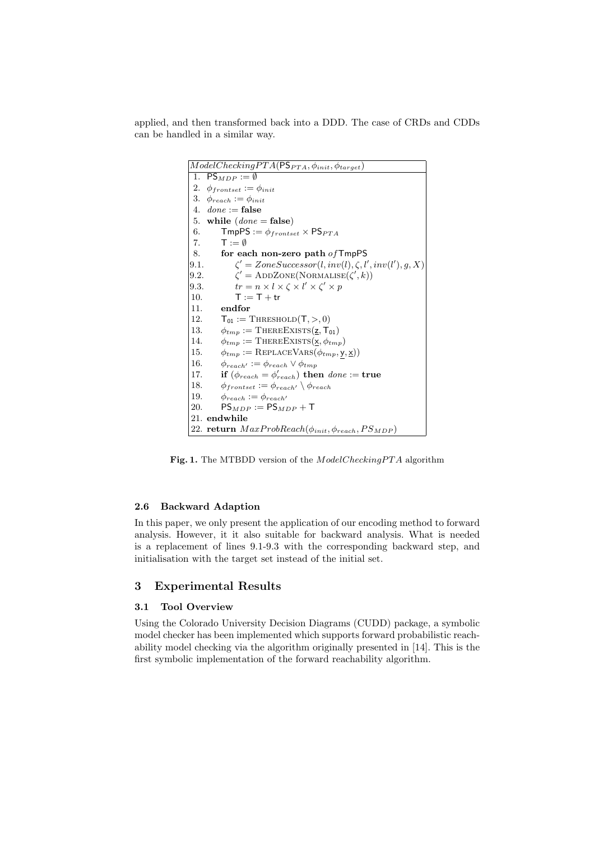applied, and then transformed back into a DDD. The case of CRDs and CDDs can be handled in a similar way.



Fig. 1. The MTBDD version of the  $ModelCheckingPTA$  algorithm

## 2.6 Backward Adaption

In this paper, we only present the application of our encoding method to forward analysis. However, it it also suitable for backward analysis. What is needed is a replacement of lines 9.1-9.3 with the corresponding backward step, and initialisation with the target set instead of the initial set.

## 3 Experimental Results

## 3.1 Tool Overview

Using the Colorado University Decision Diagrams (CUDD) package, a symbolic model checker has been implemented which supports forward probabilistic reachability model checking via the algorithm originally presented in [14]. This is the first symbolic implementation of the forward reachability algorithm.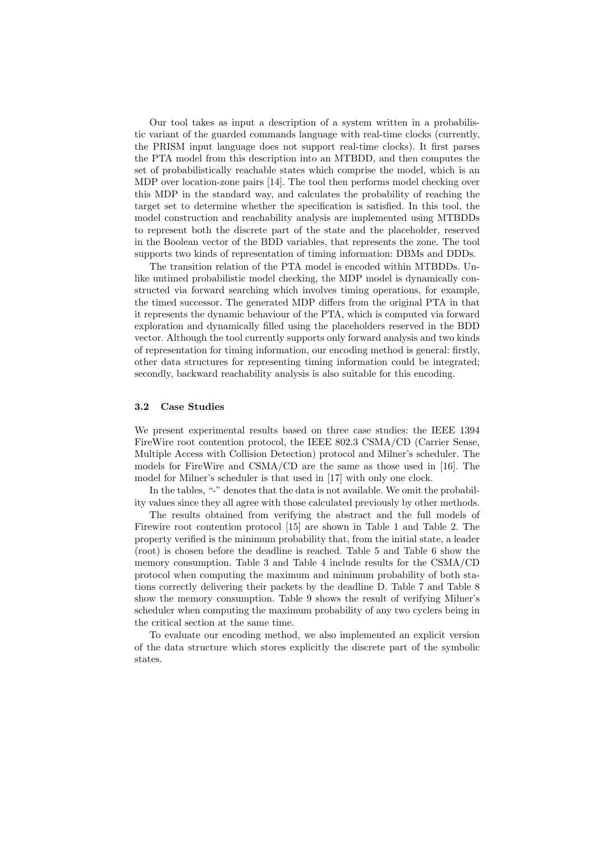Our tool takes as input a description of a system written in a probabilistic variant of the guarded commands language with real-time clocks (currently, the PRISM input language does not support real-time clocks). It first parses the PTA model from this description into an MTBDD, and then computes the set of probabilistically reachable states which comprise the model, which is an MDP over location-zone pairs [14]. The tool then performs model checking over this MDP in the standard way, and calculates the probability of reaching the target set to determine whether the specification is satisfied. In this tool, the model construction and reachability analysis are implemented using MTBDDs to represent both the discrete part of the state and the placeholder, reserved in the Boolean vector of the BDD variables, that represents the zone. The tool supports two kinds of representation of timing information: DBMs and DDDs.

The transition relation of the PTA model is encoded within MTBDDs. Unlike untimed probabilistic model checking, the MDP model is dynamically constructed via forward searching which involves timing operations, for example, the timed successor. The generated MDP differs from the original PTA in that it represents the dynamic behaviour of the PTA, which is computed via forward exploration and dynamically filled using the placeholders reserved in the BDD vector. Although the tool currently supports only forward analysis and two kinds of representation for timing information, our encoding method is general: firstly, other data structures for representing timing information could be integrated; secondly, backward reachability analysis is also suitable for this encoding.

#### 3.2 Case Studies

We present experimental results based on three case studies: the IEEE 1394 FireWire root contention protocol, the IEEE 802.3 CSMA/CD (Carrier Sense, Multiple Access with Collision Detection) protocol and Milner's scheduler. The models for FireWire and CSMA/CD are the same as those used in [16]. The model for Milner's scheduler is that used in [17] with only one clock.

In the tables, "-" denotes that the data is not available. We omit the probability values since they all agree with those calculated previously by other methods.

The results obtained from verifying the abstract and the full models of Firewire root contention protocol [15] are shown in Table 1 and Table 2. The property verified is the minimum probability that, from the initial state, a leader (root) is chosen before the deadline is reached. Table 5 and Table 6 show the memory consumption. Table 3 and Table 4 include results for the CSMA/CD protocol when computing the maximum and minimum probability of both stations correctly delivering their packets by the deadline D. Table 7 and Table 8 show the memory consumption. Table 9 shows the result of verifying Milner's scheduler when computing the maximum probability of any two cyclers being in the critical section at the same time.

To evaluate our encoding method, we also implemented an explicit version of the data structure which stores explicitly the discrete part of the symbolic states.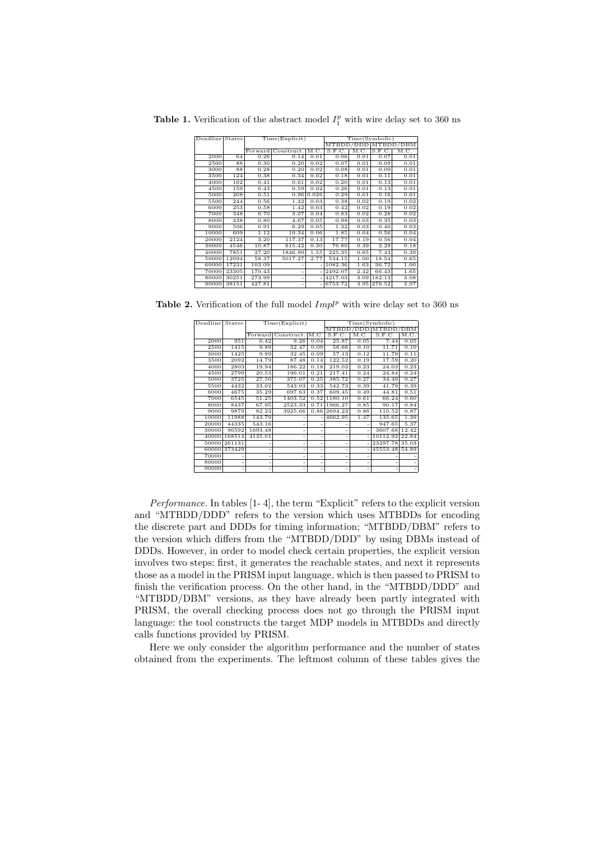| Deadline States |       | Time(Explicit) |                |       | Time(Symbolic)      |      |             |      |  |
|-----------------|-------|----------------|----------------|-------|---------------------|------|-------------|------|--|
|                 |       |                |                |       | MTBDD/DDD MTBDD/DBM |      |             |      |  |
|                 |       | Forward        | Construct.     | M.C.  | S.F.C.              | M.C. | S.F.C.      | М.С. |  |
| 2000            | 64    | 0.26           | 0.14           | 0.01  | 0.06                | 0.01 | 0.07        | 0.01 |  |
| 2500            | 88    | 0.30           | 0.20           | 0.02  | 0.07                | 0.01 | 0.09        | 0.01 |  |
| 3000            | 88    | 0.28           | 0.20           | 0.02  | 0.08                | 0.01 | 0.09        | 0.01 |  |
| 3500            | 124   | 0.38           | 0.34           | 0.02  | 0.18                | 0.01 | 0.11        | 0.01 |  |
| 4000            | 162   | 0.41           | 0.61           | 0.02  | 0.20                | 0.01 | 0.13        | 0.01 |  |
| 4500            | 159   | 0.43           | 0.59           | 0.02  | 0.26                | 0.01 | 0.13        | 0.01 |  |
| 5000            | 208   | 0.51           | 0.96           | 0.026 | 0.29                | 0.01 | 0.16        | 0.01 |  |
| 5500            | 244   | 0.56           | 1.42           | 0.03  | 0.38                | 0.02 | 0.19        | 0.02 |  |
| 6000            | 253   | 0.58           | 1.42           | 0.03  | 0.42                | 0.02 | 0.19        | 0.02 |  |
| 7000            | 348   | 0.70           | 3.07           | 0.04  | 0.83                | 0.02 | 0.28        | 0.02 |  |
| 8000            | 438   | 0.80           | 4.67           | 0.05  | 0.98                | 0.03 | 0.35        | 0.03 |  |
| 9000            | 506   | 0.91           | 6.29           | 0.05  | 1.32                | 0.03 | 0.40        | 0.03 |  |
| 10000           | 609   | 1.12           | 10.34          | 0.06  | 1.85                | 0.04 | 0.56        | 0.04 |  |
| 20000           | 2124  | 3.20           | 117.37         | 0.13  | 17.77               | 0.19 | 0.56        | 0.04 |  |
| 30000           | 4546  | 10.87          | 615.42         | 0.30  | 76.80               | 0.39 | 2.29        | 0.18 |  |
| 40000           | 7851  | 27.20          | 1846.90        | 1.55  | 225.35              | 0.65 | 7.43        | 0.39 |  |
| 50000           | 12094 | 58.37          | 5017.27        | 2.77  | 534.15              | 1.00 | 18.54       | 0.65 |  |
| 60000           | 17231 | 103.09         |                |       | 1082.36             | 1.63 | 36.72       | 1.00 |  |
| 70000           | 23305 | 170.43         | $\overline{a}$ |       | 2492.07             | 2.42 | 66.43       | 1.65 |  |
| 80000           | 30251 | 273.99         | $\overline{a}$ |       | 4217.03             | 3.09 | 182.13      | 3.08 |  |
| 90000           | 38151 | 427.81         |                |       | 6753.72             |      | 3.95 276.52 | 3.97 |  |

Table 1. Verification of the abstract model  $I_1^p$  with wire delay set to 360 ns

Table 2. Verification of the full model  $Impl<sup>p</sup>$  with wire delay set to 360 ns

| Deadline |        |                |                    |      |                     |                |          |       |  |  |
|----------|--------|----------------|--------------------|------|---------------------|----------------|----------|-------|--|--|
|          | States | Time(Explicit) |                    |      |                     | Time(Symbolic) |          |       |  |  |
|          |        |                |                    |      | MTBDD/DDD MTBDD/DBM |                |          |       |  |  |
|          |        |                | Forward Construct. | M.C. | S.F.C.              | M.C.           | S.F.C.   | М.С.  |  |  |
| 2000     | 951    | 6.42           | 9.26               | 0.04 | 25.87               | 0.05           | 7.44     | 0.05  |  |  |
| 2500     | 1415   | 9.89           | 32.47              | 0.09 | 56.66               | 0.10           | 11.71    | 0.10  |  |  |
| 3000     | 1425   | 9.99           | 32.45              | 0.09 | 57.13               | 0.12           | 11.79    | 0.11  |  |  |
| 3500     | 2092   | 14.79          | 87.48              | 0.14 | 122.52              | 0.19           | 17.59    | 0.20  |  |  |
| 4000     | 2803   | 19.94          | 186.22             | 0.18 | 219.03              | 0.23           | 24.03    | 0.23  |  |  |
| 4500     | 2799   | 20.53          | 196.01             | 0.21 | 217.41              | 0.24           | 24.84    | 0.24  |  |  |
| 5000     | 3725   | 27.50          | 375.07             | 0.25 | 385.72              | 0.27           | 34.49    | 0.27  |  |  |
| 5500     | 4432   | 33.02          | 543.03             | 0.33 | 542.73              | 0.39           | 41.79    | 0.39  |  |  |
| 6000     | 4675   | 35.29          | 697.63             | 0.37 | 609.45              | 0.49           | 44.81    | 0.51  |  |  |
| 7000     | 6545   | 51.25          | 1403.52            | 0.52 | 1180.10             | 0.61           | 66.24    | 0.60  |  |  |
| 8000     | 8437   | 67.95          | 2523.33            | 0.71 | 1966.27             | 0.85           | 90.17    | 0.84  |  |  |
| 9000     | 9879   | 82.23          | 3925.66            | 0.86 | 2694.23             | 0.86           | 110.52   | 0.87  |  |  |
| 10000    | 11988  | 143.79         |                    |      | 4662.95             | 1.47           | 135.65   | 1.39  |  |  |
| 20000    | 44335  | 543.16         |                    |      |                     | ۰              | 947.65   | 5.37  |  |  |
| 30000    | 96592  | 1693.48        |                    | ۰    |                     | Ĭ.             | 3607.68  | 12.42 |  |  |
| 40000    | 168514 | 4135.01        |                    | ۰    |                     | Ĭ.             | 10112.92 | 22.84 |  |  |
| 50000    | 261131 | ٠              |                    | ۰    | ۰                   | Ĭ.             | 23297.78 | 35.03 |  |  |
| 60000    | 373429 | ۰              | ٠                  | ٠    | ۰                   | Ĭ.             | 45553.48 | 54.89 |  |  |
| 70000    |        | ۰              |                    | ٠    | ۰                   | ۰              |          |       |  |  |
| 80000    | ۰      | ۰              |                    | ۰    | ۰                   | ۰              | ۰        |       |  |  |
| 90000    | ۰      | ۰              |                    | ۰    | ۰                   | ۰              | ۰        |       |  |  |

Performance. In tables [1-4], the term "Explicit" refers to the explicit version and "MTBDD/DDD" refers to the version which uses MTBDDs for encoding the discrete part and DDDs for timing information; "MTBDD/DBM" refers to the version which differs from the "MTBDD/DDD" by using DBMs instead of DDDs. However, in order to model check certain properties, the explicit version involves two steps: first, it generates the reachable states, and next it represents those as a model in the PRISM input language, which is then passed to PRISM to finish the verification process. On the other hand, in the "MTBDD/DDD" and "MTBDD/DBM" versions, as they have already been partly integrated with PRISM, the overall checking process does not go through the PRISM input language: the tool constructs the target MDP models in MTBDDs and directly calls functions provided by PRISM.

Here we only consider the algorithm performance and the number of states obtained from the experiments. The leftmost column of these tables gives the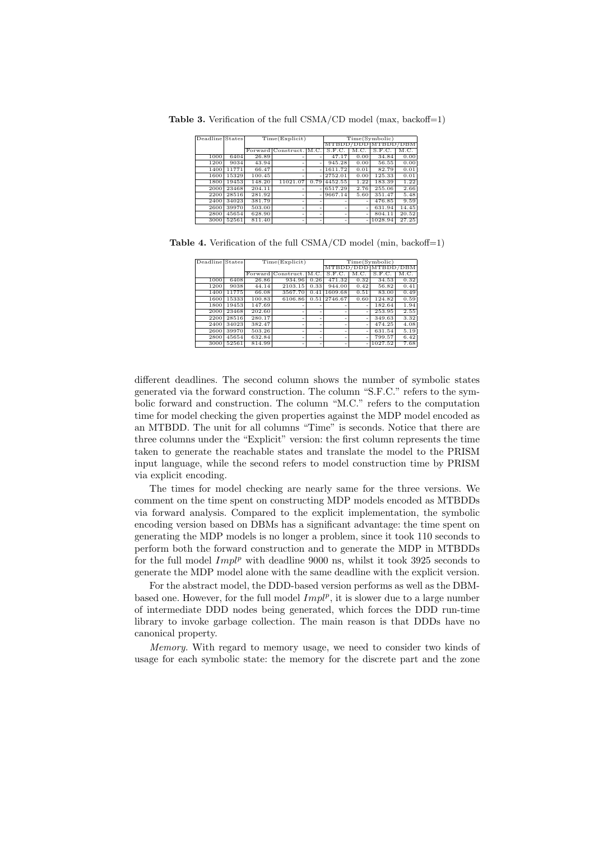| Deadline States |       | Time(Explicit) |                         |      |         | Time(Symbolic) |                     |       |
|-----------------|-------|----------------|-------------------------|------|---------|----------------|---------------------|-------|
|                 |       |                |                         |      |         |                | MTBDD/DDD MTBDD/DBM |       |
|                 |       |                | Forward Construct. M.C. |      | S.F.C.  | M.C.           | S.F.C.              | M.C.  |
| 1000            | 6404  | 26.89          |                         |      | 47.17   | 0.00           | 34.84               | 0.00  |
| 1200            | 9034  | 43.94          | ۰                       |      | 945.28  | 0.00           | 56.55               | 0.00  |
| 1400            | 11771 | 66.47          |                         |      | 1611.72 | 0.01           | 82.79               | 0.01  |
| 1600            | 15329 | 100.45         | ۰                       |      | 2752.01 | 0.00           | 125.33              | 0.01  |
| 1800            | 19453 | 148.20         | 11021.07                | 0.79 | 4452.55 | 1.22           | 183.39              | 1.22  |
| 2000            | 23468 | 204.11         |                         |      | 6517.29 | 2.76           | 255.06              | 2.66  |
| 2200            | 28516 | 281.92         | $\overline{a}$          |      | 9667.14 | 5.60           | 351.47              | 5.48  |
| 2400            | 34023 | 381.79         | ٠                       |      |         |                | 476.85              | 9.59  |
| 2600            | 39970 | 503.00         | ٠                       |      |         | ۰              | 631.94              | 14.45 |
| 2800            | 45654 | 628.90         | ٠                       | ۰    |         |                | 804.11              | 20.52 |
| 3000            | 52561 | 811.40         | ٠                       | ۰    |         |                | 1028.94             | 27.25 |

**Table 3.** Verification of the full CSMA/CD model (max, backoff=1)

**Table 4.** Verification of the full  $CSMA/CD$  model (min, backoff=1)

| Deadline States |       | Time(Explicit) |                         |      | Time(Symbolic) |      |                     |      |
|-----------------|-------|----------------|-------------------------|------|----------------|------|---------------------|------|
|                 |       |                |                         |      |                |      | MTBDD/DDD MTBDD/DBM |      |
|                 |       |                | Forward Construct. M.C. |      | S.F.C.         | M.C. | S.F.C.              | М.С. |
| 1000            | 6408  | 26.86          | 934.96                  | 0.26 | 471.32         | 0.32 | 34.53               | 0.32 |
| 1200            | 9038  | 44.14          | 2103.15                 | 0.33 | 944.00         | 0.42 | 56.82               | 0.41 |
| 1400            | 11775 | 66.08          | 3567.70                 | 0.41 | 1609.68        | 0.51 | 83.00               | 0.49 |
| 1600            | 15333 | 100.83         | 6106.86                 |      | 0.51 2746.67   | 0.60 | 124.82              | 0.59 |
| 1800            | 19453 | 147.69         |                         |      |                |      | 182.64              | 1.94 |
| 2000            | 23468 | 202.60         |                         |      |                | ۰    | 253.95              | 2.55 |
| 2200            | 28516 | 280.17         |                         | ۰    |                | ۰    | 349.63              | 3.32 |
| 2400            | 34023 | 382.47         |                         | ۰    |                | ۰    | 474.25              | 4.08 |
| 2600            | 39970 | 503.26         |                         | ۰    |                |      | 631.54              | 5.19 |
| 2800            | 45654 | 632.84         |                         | ۰    |                | ۰    | 799.57              | 6.42 |
| 3000            | 52561 | 814.99         |                         |      |                | ۰    | 1027.52             | 7.68 |

different deadlines. The second column shows the number of symbolic states generated via the forward construction. The column "S.F.C." refers to the symbolic forward and construction. The column "M.C." refers to the computation time for model checking the given properties against the MDP model encoded as an MTBDD. The unit for all columns "Time" is seconds. Notice that there are three columns under the "Explicit" version: the first column represents the time taken to generate the reachable states and translate the model to the PRISM input language, while the second refers to model construction time by PRISM via explicit encoding.

The times for model checking are nearly same for the three versions. We comment on the time spent on constructing MDP models encoded as MTBDDs via forward analysis. Compared to the explicit implementation, the symbolic encoding version based on DBMs has a significant advantage: the time spent on generating the MDP models is no longer a problem, since it took 110 seconds to perform both the forward construction and to generate the MDP in MTBDDs for the full model  $Impl<sup>p</sup>$  with deadline 9000 ns, whilst it took 3925 seconds to generate the MDP model alone with the same deadline with the explicit version.

For the abstract model, the DDD-based version performs as well as the DBMbased one. However, for the full model  $Impl<sup>p</sup>$ , it is slower due to a large number of intermediate DDD nodes being generated, which forces the DDD run-time library to invoke garbage collection. The main reason is that DDDs have no canonical property.

Memory. With regard to memory usage, we need to consider two kinds of usage for each symbolic state: the memory for the discrete part and the zone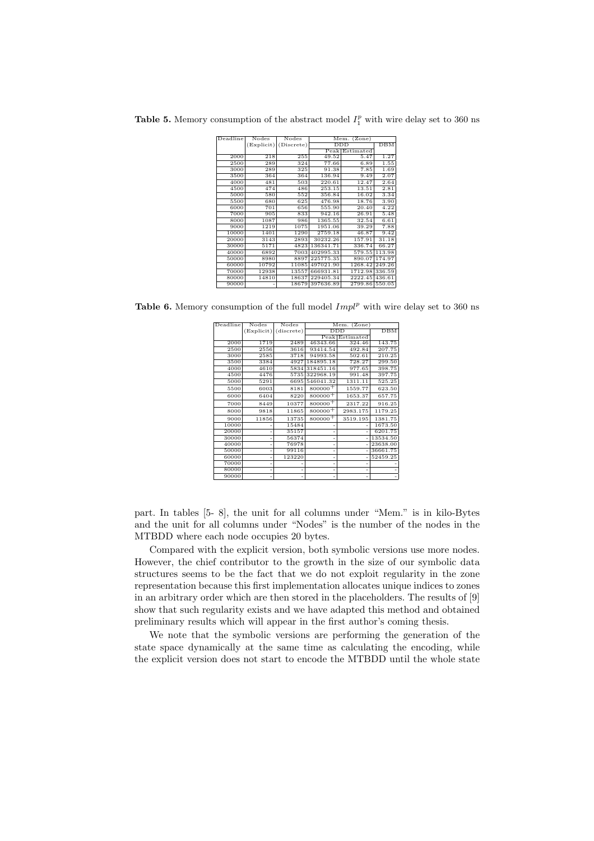Table 5. Memory consumption of the abstract model  $I_1^p$  with wire delay set to 360 ns

| Deadline | Nodes | Nodes                   |           | Mem.<br>(Zone) |        |
|----------|-------|-------------------------|-----------|----------------|--------|
|          |       | (Explicit)   (Discrete) |           | DDD            | DBM    |
|          |       |                         |           | Peak Estimated |        |
| 2000     | 218   | 255                     | 49.52     | 5.47           | 1.27   |
| 2500     | 289   | 324                     | 77.66     | 6.89           | 1.55   |
| 3000     | 289   | 325                     | 91.38     | 7.85           | 1.69   |
| 3500     | 364   | 364                     | 136.94    | 9.49           | 2.07   |
| 4000     | 481   | 503                     | 220.61    | 12.47          | 2.64   |
| 4500     | 474   | 486                     | 253.15    | 13.51          | 2.81   |
| 5000     | 580   | 552                     | 356.84    | 16.02          | 3.34   |
| 5500     | 680   | 625                     | 476.98    | 18.76          | 3.90   |
| 6000     | 701   | 656                     | 555.90    | 20.40          | 4.22   |
| 7000     | 905   | 833                     | 942.16    | 26.91          | 5.48   |
| 8000     | 1087  | 986                     | 1365.55   | 32.54          | 6.61   |
| 9000     | 1219  | 1075                    | 1951.06   | 39.29          | 7.88   |
| 10000    | 1401  | 1290                    | 2759.18   | 46.87          | 9.42   |
| 20000    | 3143  | 2893                    | 30232.26  | 157.91         | 31.18  |
| 30000    | 5171  | 4823                    | 136341.71 | 336.74         | 66.27  |
| 40000    | 6892  | 7003                    | 402995.33 | 579.55         | 113.98 |
| 50000    | 8980  | 8897                    | 225775.35 | 890.07         | 174.97 |
| 60000    | 10792 | 11085                   | 497021.90 | 1268.42        | 249.26 |
| 70000    | 12938 | 13557                   | 666931.81 | 1712.98        | 336.59 |
| 80000    | 14810 | 18637                   | 229405.34 | 2222.45        | 436.61 |
| 90000    |       | 18679                   | 397636.89 | 2799.86        | 550.05 |

Table 6. Memory consumption of the full model  $Impl<sup>p</sup>$  with wire delay set to 360 ns

| Deadline | Nodes      | Nodes      | Mem.       | (Zone)                    |          |
|----------|------------|------------|------------|---------------------------|----------|
|          | (Explicit) | (discrete) |            | $\overline{\mathrm{DDD}}$ | DBM      |
|          |            |            |            | Peak Estimated            |          |
| 2000     | 1719       | 2489       | 46343.66   | 324.46                    | 143.75   |
| 2500     | 2556       | 3616       | 93414.54   | 492.84                    | 207.75   |
| 3000     | 2585       | 3718       | 94993.58   | 502.61                    | 210.25   |
| 3500     | 3384       | 4927       | 184895.18  | 728.27                    | 299.50   |
| 4000     | 4610       | 5834       | 318451.16  | 977.65                    | 398.75   |
| 4500     | 4476       | 5735       | 322968.19  | 991.48                    | 397.75   |
| 5000     | 5291       | 6695       | 546041.32  | 1311.11                   | 525.25   |
| 5500     | 6003       | 8181       | $800000^+$ | 1559.77                   | 623.50   |
| 6000     | 6404       | 8220       | $800000^+$ | 1653.37                   | 657.75   |
| 7000     | 8449       | 10377      | $800000^+$ | 2317.22                   | 916.25   |
| 8000     | 9818       | 11865      | $800000^+$ | 2983.175                  | 1179.25  |
| 9000     | 11856      | 13735      | $800000+$  | 3519.195                  | 1381.75  |
| 10000    |            | 15484      |            |                           | 1673.50  |
| 20000    |            | 35157      |            |                           | 6201.75  |
| 30000    |            | 56374      |            |                           | 13534.50 |
| 40000    |            | 76978      | ٠          |                           | 23638.00 |
| 50000    |            | 99116      | ٠          |                           | 36661.75 |
| 60000    | ۰          | 123220     | ٠          |                           | 52459.25 |
| 70000    | ۰          |            | ٠          |                           |          |
| 80000    | ۰          |            | ٠          | ۰                         |          |
| 90000    |            | ۰          |            | ۰                         |          |

part. In tables [5- 8], the unit for all columns under "Mem." is in kilo-Bytes and the unit for all columns under "Nodes" is the number of the nodes in the MTBDD where each node occupies 20 bytes.

Compared with the explicit version, both symbolic versions use more nodes. However, the chief contributor to the growth in the size of our symbolic data structures seems to be the fact that we do not exploit regularity in the zone representation because this first implementation allocates unique indices to zones in an arbitrary order which are then stored in the placeholders. The results of [9] show that such regularity exists and we have adapted this method and obtained preliminary results which will appear in the first author's coming thesis.

We note that the symbolic versions are performing the generation of the state space dynamically at the same time as calculating the encoding, while the explicit version does not start to encode the MTBDD until the whole state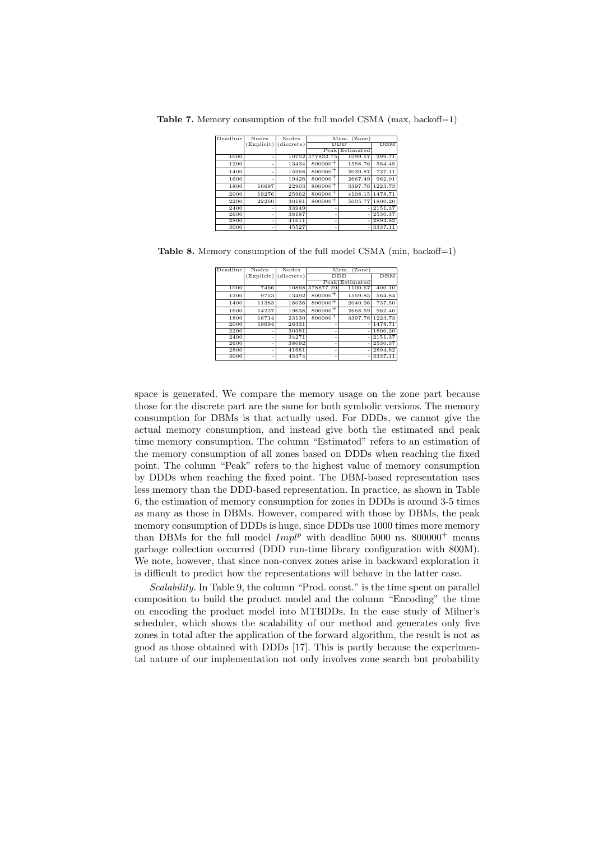| Deadline | Nodes     | Nodes      | Mem. (Zone) | DBM            |         |
|----------|-----------|------------|-------------|----------------|---------|
|          | Explicit) | (discrete) |             | DDD            |         |
|          |           |            |             | Peak Estimated |         |
| 1000     |           | 10752      | 577832.75   | 1099.57        | 399.71  |
| 1200     |           | 13434      | $800000^+$  | 1558.76        | 564.45  |
| 1400     |           | 15968      | $800000+$   | 2039.87        | 737.11  |
| 1600     |           | 19426      | $800000+$   | 2667.49        | 962.01  |
| 1800     | 16697     | 22903      | $800000+$   | 3397.76        | 1223.73 |
| 2000     | 19276     | 25962      | $800000+$   | 4108.15        | 1478.71 |
| 2200     | 22260     | 30181      | $800000+$   | 5005.77        | 1800.20 |
| 2400     |           | 33949      |             |                | 2151.37 |
| 2600     |           | 38187      |             | ۰              | 2530.37 |
| 2800     |           | 41611      |             | ۰              | 2894.82 |
| 3000     |           | 45527      |             |                | 3337.11 |

Table 7. Memory consumption of the full model CSMA (max, backoff=1)

Table 8. Memory consumption of the full model CSMA (min, backoff=1)

| Deadline | Nodes      | Nodes      | Mem.                |           |         |
|----------|------------|------------|---------------------|-----------|---------|
|          | (Explicit) | (discrete) | DDD                 |           | DBM     |
|          |            |            | Peak                | Estimated |         |
| 1000     | 7466       | 10868      | 578877.20           | 1100.67   | 400.10  |
| 1200     | 9753       | 13492      | $800000+$           | 1559.85   | 564.84  |
| 1400     | 11383      | 16036      | $800000+$           | 2040.96   | 737.50  |
| 1600     | 14227      | 19638      | $800000+$           | 2668.59   | 962.40  |
| 1800     | 16714      | 23130      | 800000 <sup>+</sup> | 3397.76   | 1223.73 |
| 2000     | 19694      | 26331      |                     |           | 1478.71 |
| 2200     |            | 30381      |                     |           | 1800.20 |
| 2400     |            | 34271      |                     |           | 2151.37 |
| 2600     |            | 38092      |                     | ۰         | 2530.37 |
| 2800     |            | 41681      | ۰                   |           | 2894.82 |
| 3000     |            | 45374      |                     |           | 3337.11 |

space is generated. We compare the memory usage on the zone part because those for the discrete part are the same for both symbolic versions. The memory consumption for DBMs is that actually used. For DDDs, we cannot give the actual memory consumption, and instead give both the estimated and peak time memory consumption. The column "Estimated" refers to an estimation of the memory consumption of all zones based on DDDs when reaching the fixed point. The column "Peak" refers to the highest value of memory consumption by DDDs when reaching the fixed point. The DBM-based representation uses less memory than the DDD-based representation. In practice, as shown in Table 6, the estimation of memory consumption for zones in DDDs is around 3-5 times as many as those in DBMs. However, compared with those by DBMs, the peak memory consumption of DDDs is huge, since DDDs use 1000 times more memory than DBMs for the full model  $Impl<sup>p</sup>$  with deadline 5000 ns. 800000<sup>+</sup> means garbage collection occurred (DDD run-time library configuration with 800M). We note, however, that since non-convex zones arise in backward exploration it is difficult to predict how the representations will behave in the latter case.

Scalability. In Table 9, the column "Prod. const." is the time spent on parallel composition to build the product model and the column "Encoding" the time on encoding the product model into MTBDDs. In the case study of Milner's scheduler, which shows the scalability of our method and generates only five zones in total after the application of the forward algorithm, the result is not as good as those obtained with DDDs [17]. This is partly because the experimental nature of our implementation not only involves zone search but probability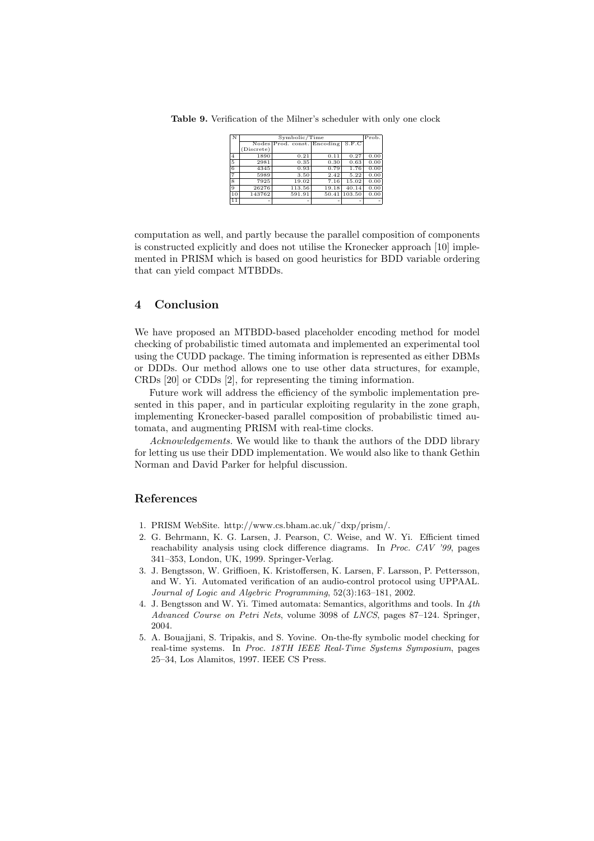Table 9. Verification of the Milner's scheduler with only one clock

| N  | Symbolic/Time<br>Prob. |                             |       |        |      |  |  |
|----|------------------------|-----------------------------|-------|--------|------|--|--|
|    |                        | Nodes Prod. const. Encoding |       | S.F.C  |      |  |  |
|    | (Discrete)             |                             |       |        |      |  |  |
| 4  | 1890                   | 0.21                        | 0.11  | 0.27   | 0.00 |  |  |
| 5  | 2981                   | 0.35                        | 0.30  | 0.63   | 0.00 |  |  |
| 6  | 4345                   | 0.93                        | 0.79  | 1.76   | 0.00 |  |  |
| 7  | 5989                   | 3.50                        | 2.42  | 5.22   | 0.00 |  |  |
| 8  | 7925                   | 19.02                       | 7.16  | 15.02  | 0.00 |  |  |
| 9  | 26276                  | 113.56                      | 19.18 | 40.14  | 0.00 |  |  |
| 10 | 143762                 | 591.91                      | 50.41 | 103.50 | 0.00 |  |  |
| 11 |                        |                             |       |        |      |  |  |

computation as well, and partly because the parallel composition of components is constructed explicitly and does not utilise the Kronecker approach [10] implemented in PRISM which is based on good heuristics for BDD variable ordering that can yield compact MTBDDs.

## 4 Conclusion

We have proposed an MTBDD-based placeholder encoding method for model checking of probabilistic timed automata and implemented an experimental tool using the CUDD package. The timing information is represented as either DBMs or DDDs. Our method allows one to use other data structures, for example, CRDs [20] or CDDs [2], for representing the timing information.

Future work will address the efficiency of the symbolic implementation presented in this paper, and in particular exploiting regularity in the zone graph, implementing Kronecker-based parallel composition of probabilistic timed automata, and augmenting PRISM with real-time clocks.

Acknowledgements. We would like to thank the authors of the DDD library for letting us use their DDD implementation. We would also like to thank Gethin Norman and David Parker for helpful discussion.

## References

- 1. PRISM WebSite. http://www.cs.bham.ac.uk/˜dxp/prism/.
- 2. G. Behrmann, K. G. Larsen, J. Pearson, C. Weise, and W. Yi. Efficient timed reachability analysis using clock difference diagrams. In Proc. CAV '99, pages 341–353, London, UK, 1999. Springer-Verlag.
- 3. J. Bengtsson, W. Griffioen, K. Kristoffersen, K. Larsen, F. Larsson, P. Pettersson, and W. Yi. Automated verification of an audio-control protocol using UPPAAL. Journal of Logic and Algebric Programming, 52(3):163–181, 2002.
- 4. J. Bengtsson and W. Yi. Timed automata: Semantics, algorithms and tools. In 4th Advanced Course on Petri Nets, volume 3098 of LNCS, pages 87–124. Springer, 2004.
- 5. A. Bouajjani, S. Tripakis, and S. Yovine. On-the-fly symbolic model checking for real-time systems. In Proc. 18TH IEEE Real-Time Systems Symposium, pages 25–34, Los Alamitos, 1997. IEEE CS Press.